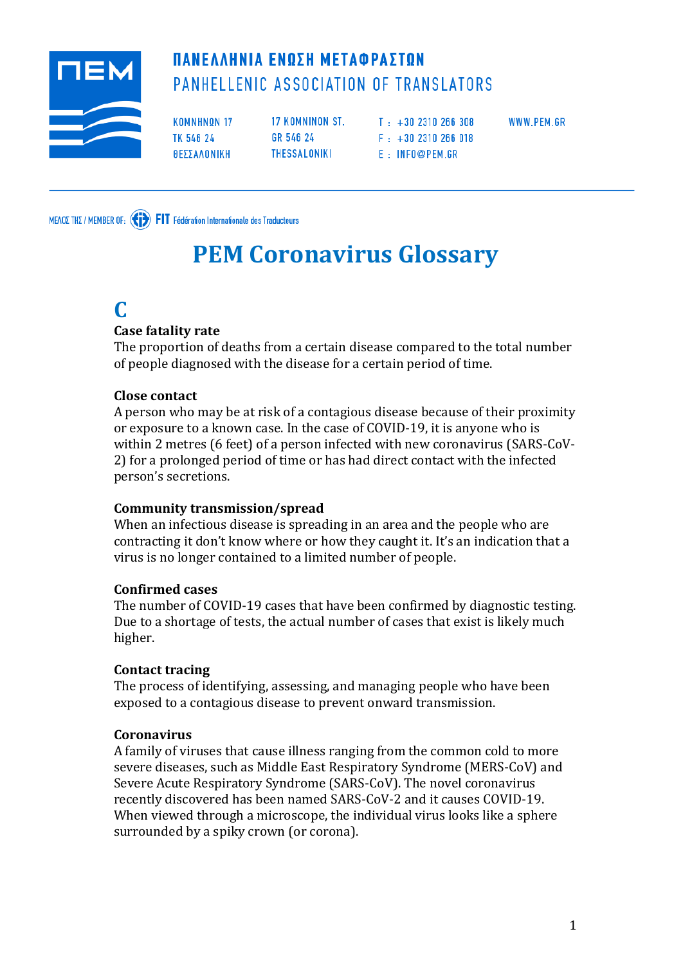

# ΠΑΝΕΛΛΗΝΙΑ ΕΝΩΣΗ ΜΕΤΑΦΡΑΣΤΩΝ PANHELLENIC ASSOCIATION OF TRANSLATORS

**KOMNHNON 17** TK 546 24 ΘΕΣΣΑΛΟΝΙΚΗ

17 KOMNINON ST. GR 546 24 THESSALONIKI

 $T : +302310266308$  $F : +302310266018$ E : INFO@PEM.GR

WWW.PEM.GR

MEADE THE / MEMBER OF: (1) FIT Fédération Internationale des Traducteurs

# **PEM Coronavirus Glossary**

# **C**

#### **Case fatality rate**

Τhe proportion of deaths from a certain disease compared to the total number of people diagnosed with the disease for a certain period of time.

#### **Close contact**

A person who may be at risk of a contagious disease because of their proximity or exposure to a known case. In the case of COVID-19, it is anyone who is within 2 metres (6 feet) of a person infected with new coronavirus (SARS-CoV-2) for a prolonged period of time or has had direct contact with the infected person's secretions.

#### **Community transmission/spread**

When an infectious disease is spreading in an area and the people who are contracting it don't know where or how they caught it. It's an indication that a virus is no longer contained to a limited number of people.

#### **Confirmed cases**

The number of COVID-19 cases that have been confirmed by diagnostic testing. Due to a shortage of tests, the actual number of cases that exist is likely much higher.

#### **Contact tracing**

The process of identifying, assessing, and managing people who have been exposed to a contagious disease to prevent onward transmission.

#### **Coronavirus**

A family of viruses that cause illness ranging from the common cold to more severe diseases, such as Middle East Respiratory Syndrome (MERS-CoV) and Severe Acute Respiratory Syndrome (SARS-CoV). The novel coronavirus recently discovered has been named SARS-CoV-2 and it causes COVID-19. When viewed through a microscope, the individual virus looks like a sphere surrounded by a spiky crown (or corona).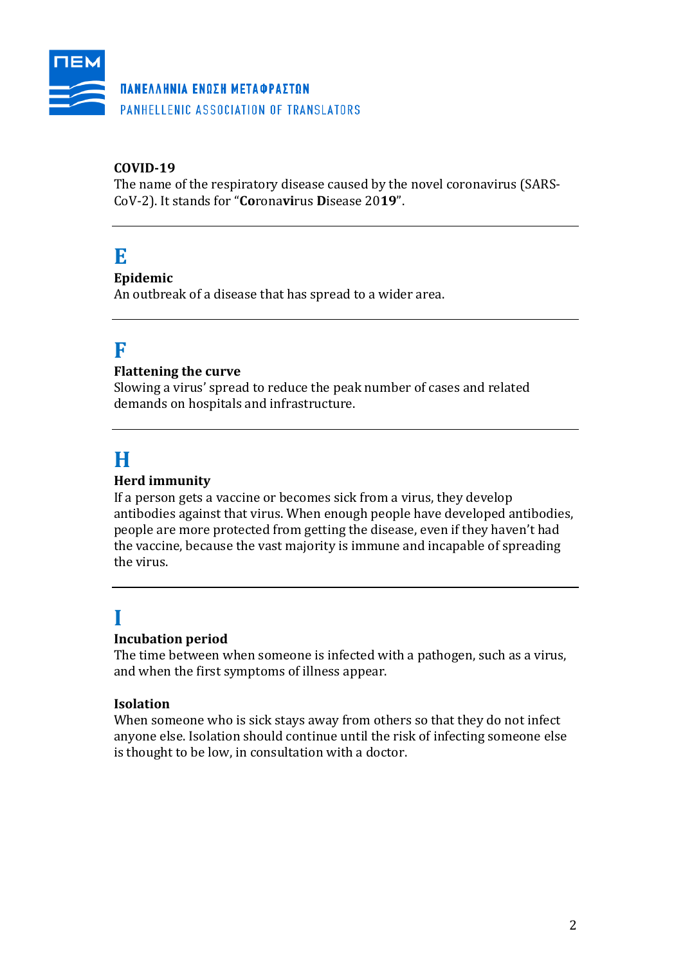

#### ΠΑΝΕΛΛΗΝΙΑ ΕΝΩΣΗ ΜΕΤΑΦΡΑΣΤΩΝ

PANHELLENIC ASSOCIATION OF TRANSLATORS

#### **COVID-19**

The name of the respiratory disease caused by the novel coronavirus (SARS-CoV-2). It stands for "**Co**rona**vi**rus **D**isease 20**19**".

## **E**

#### **Epidemic**

An outbreak of a disease that has spread to a wider area.

### **F**

#### **Flattening the curve**

Slowing a virus' spread to reduce the peak number of cases and related demands on hospitals and infrastructure.

# **H**

#### **Herd immunity**

If a person gets a vaccine or becomes sick from a virus, they develop antibodies against that virus. When enough people have developed antibodies, people are more protected from getting the disease, even if they haven't had the vaccine, because the vast majority is immune and incapable of spreading the virus.

# **I**

#### **Incubation period**

The time between when someone is infected with a pathogen, such as a virus, and when the first symptoms of illness appear.

#### **Isolation**

When someone who is sick stays away from others so that they do not infect anyone else. Isolation should continue until the risk of infecting someone else is thought to be low, in consultation with a doctor.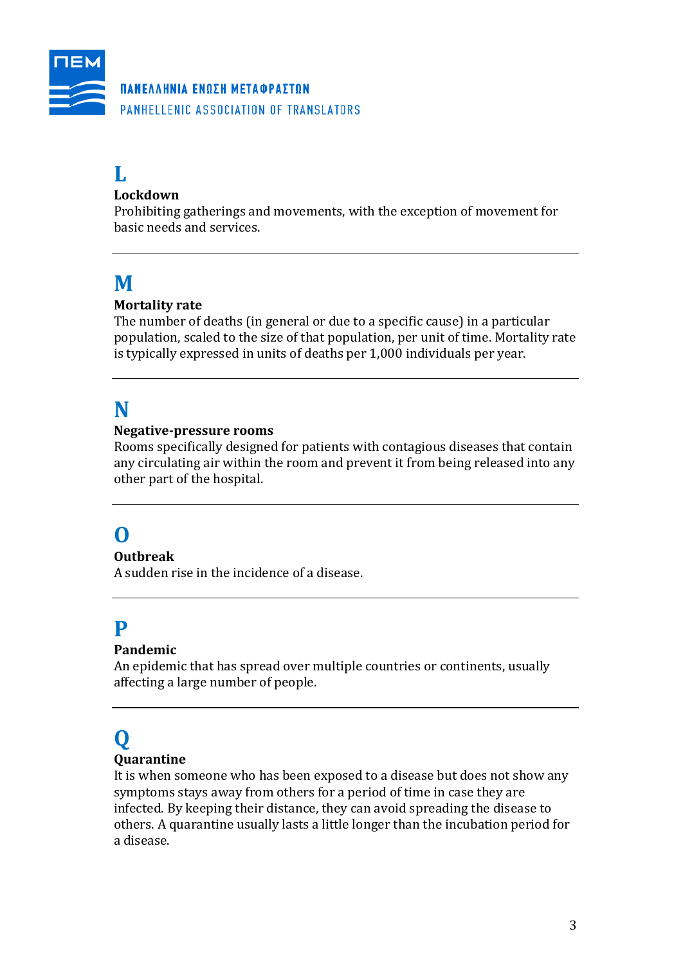

#### ΠΑΝΕΛΛΗΝΙΑ ΕΝΩΣΗ ΜΕΤΑΦΡΑΣΤΩΝ

PANHELLENIC ASSOCIATION OF TRANSLATORS

# **L**

#### **Lockdown**

Prohibiting gatherings and movements, with the exception of movement for basic needs and services.

### **M**

#### **Mortality rate**

The number of deaths (in general or due to a specific cause) in a particular population, scaled to the size of that population, per unit of time. Mortality rate is typically expressed in units of deaths per 1,000 individuals per year.

### **N**

#### **Negative-pressure rooms**

Rooms specifically designed for patients with contagious diseases that contain any circulating air within the room and prevent it from being released into any other part of the hospital.

## **O**

#### **Outbreak**

A sudden rise in the incidence of a disease.

## **P**

#### **Pandemic**

An epidemic that has spread over multiple countries or continents, usually affecting a large number of people.

# **Q**

#### **Quarantine**

It is when someone who has been exposed to a disease but does not show any symptoms stays away from others for a period of time in case they are infected. By keeping their distance, they can avoid spreading the disease to others. A quarantine usually lasts a little longer than the incubation period for a disease.